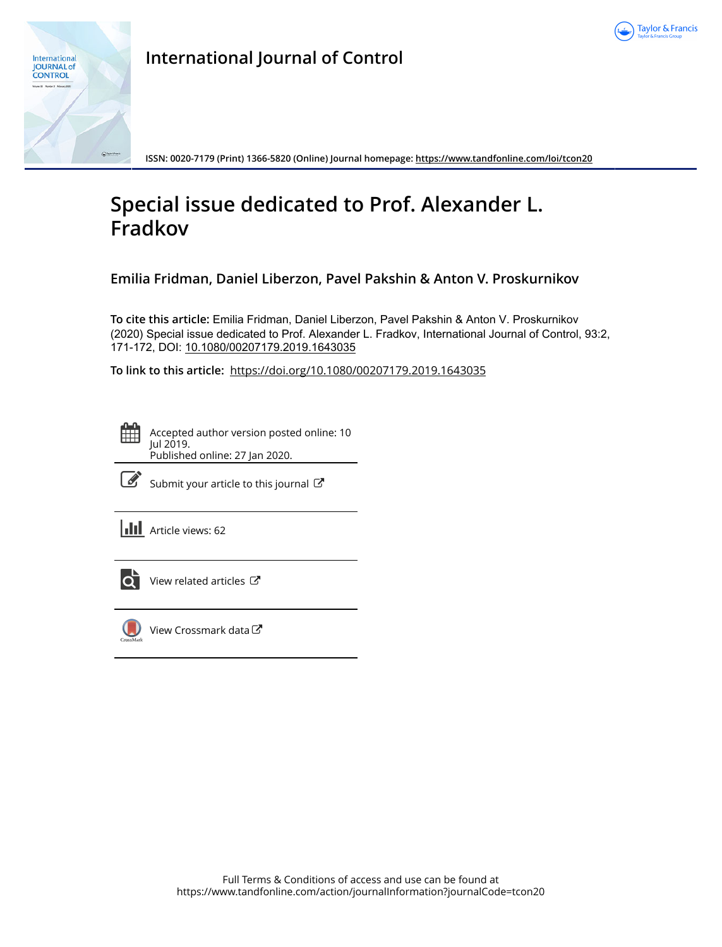



**International Journal of Control**

**ISSN: 0020-7179 (Print) 1366-5820 (Online) Journal homepage:<https://www.tandfonline.com/loi/tcon20>**

# **Special issue dedicated to Prof. Alexander L. Fradkov**

**Emilia Fridman, Daniel Liberzon, Pavel Pakshin & Anton V. Proskurnikov**

**To cite this article:** Emilia Fridman, Daniel Liberzon, Pavel Pakshin & Anton V. Proskurnikov (2020) Special issue dedicated to Prof. Alexander L. Fradkov, International Journal of Control, 93:2, 171-172, DOI: [10.1080/00207179.2019.1643035](https://www.tandfonline.com/action/showCitFormats?doi=10.1080/00207179.2019.1643035)

**To link to this article:** <https://doi.org/10.1080/00207179.2019.1643035>

Accepted author version posted online: 10 Jul 2019. Published online: 27 Jan 2020.



 $\mathbb{Z}$  [Submit your article to this journal](https://www.tandfonline.com/action/authorSubmission?journalCode=tcon20&show=instructions)  $\mathbb{Z}$ 

**III** Article views: 62



[View related articles](https://www.tandfonline.com/doi/mlt/10.1080/00207179.2019.1643035) ぴ



[View Crossmark data](http://crossmark.crossref.org/dialog/?doi=10.1080/00207179.2019.1643035&domain=pdf&date_stamp=2019-07-10) $\mathbb{Z}$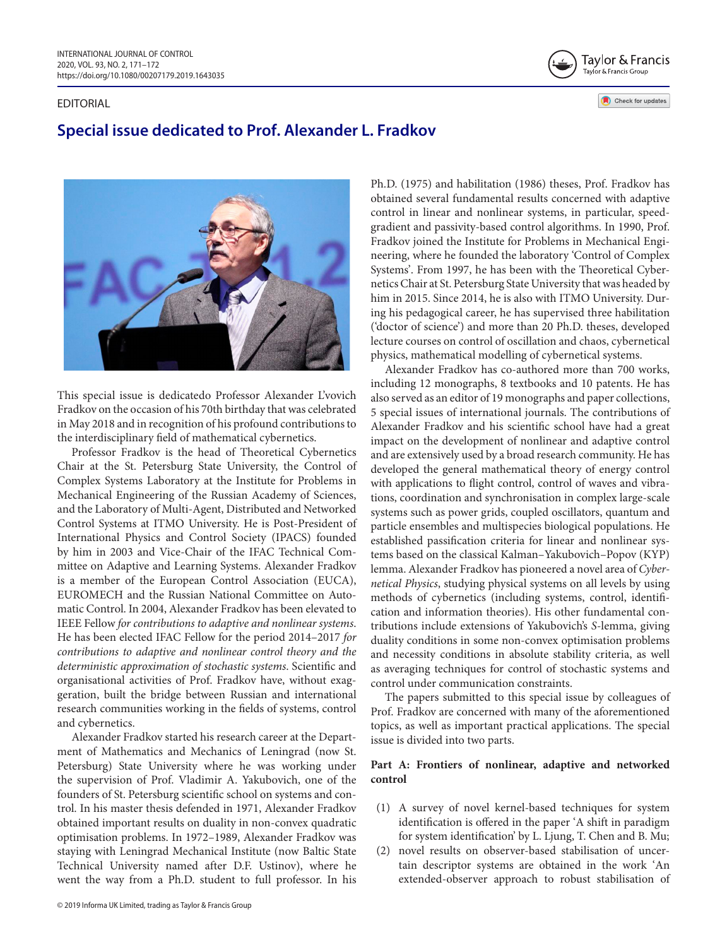#### EDITORIAL



## **Special issue dedicated to Prof. Alexander L. Fradkov**



This special issue is dedicatedo Professor Alexander L'vovich Fradkov on the occasion of his 70th birthday that was celebrated in May 2018 and in recognition of his profound contributions to the interdisciplinary field of mathematical cybernetics.

Professor Fradkov is the head of Theoretical Cybernetics Chair at the St. Petersburg State University, the Control of Complex Systems Laboratory at the Institute for Problems in Mechanical Engineering of the Russian Academy of Sciences, and the Laboratory of Multi-Agent, Distributed and Networked Control Systems at ITMO University. He is Post-President of International Physics and Control Society (IPACS) founded by him in 2003 and Vice-Chair of the IFAC Technical Committee on Adaptive and Learning Systems. Alexander Fradkov is a member of the European Control Association (EUCA), EUROMECH and the Russian National Committee on Automatic Control. In 2004, Alexander Fradkov has been elevated to IEEE Fellow *for contributions to adaptive and nonlinear systems*. He has been elected IFAC Fellow for the period 2014–2017 *for contributions to adaptive and nonlinear control theory and the deterministic approximation of stochastic systems*. Scientific and organisational activities of Prof. Fradkov have, without exaggeration, built the bridge between Russian and international research communities working in the fields of systems, control and cybernetics.

Alexander Fradkov started his research career at the Department of Mathematics and Mechanics of Leningrad (now St. Petersburg) State University where he was working under the supervision of Prof. Vladimir A. Yakubovich, one of the founders of St. Petersburg scientific school on systems and control. In his master thesis defended in 1971, Alexander Fradkov obtained important results on duality in non-convex quadratic optimisation problems. In 1972–1989, Alexander Fradkov was staying with Leningrad Mechanical Institute (now Baltic State Technical University named after D.F. Ustinov), where he went the way from a Ph.D. student to full professor. In his Ph.D. (1975) and habilitation (1986) theses, Prof. Fradkov has obtained several fundamental results concerned with adaptive control in linear and nonlinear systems, in particular, speedgradient and passivity-based control algorithms. In 1990, Prof. Fradkov joined the Institute for Problems in Mechanical Engineering, where he founded the laboratory 'Control of Complex Systems'. From 1997, he has been with the Theoretical Cybernetics Chair at St. Petersburg State University that was headed by him in 2015. Since 2014, he is also with ITMO University. During his pedagogical career, he has supervised three habilitation ('doctor of science') and more than 20 Ph.D. theses, developed lecture courses on control of oscillation and chaos, cybernetical physics, mathematical modelling of cybernetical systems.

Alexander Fradkov has co-authored more than 700 works, including 12 monographs, 8 textbooks and 10 patents. He has also served as an editor of 19 monographs and paper collections, 5 special issues of international journals. The contributions of Alexander Fradkov and his scientific school have had a great impact on the development of nonlinear and adaptive control and are extensively used by a broad research community. He has developed the general mathematical theory of energy control with applications to flight control, control of waves and vibrations, coordination and synchronisation in complex large-scale systems such as power grids, coupled oscillators, quantum and particle ensembles and multispecies biological populations. He established passification criteria for linear and nonlinear systems based on the classical Kalman–Yakubovich–Popov (KYP) lemma. Alexander Fradkov has pioneered a novel area of *Cybernetical Physics*, studying physical systems on all levels by using methods of cybernetics (including systems, control, identification and information theories). His other fundamental contributions include extensions of Yakubovich's *S*-lemma, giving duality conditions in some non-convex optimisation problems and necessity conditions in absolute stability criteria, as well as averaging techniques for control of stochastic systems and control under communication constraints.

The papers submitted to this special issue by colleagues of Prof. Fradkov are concerned with many of the aforementioned topics, as well as important practical applications. The special issue is divided into two parts.

#### **Part A: Frontiers of nonlinear, adaptive and networked control**

- (1) A survey of novel kernel-based techniques for system identification is offered in the paper 'A shift in paradigm for system identification' by L. Ljung, T. Chen and B. Mu;
- (2) novel results on observer-based stabilisation of uncertain descriptor systems are obtained in the work 'An extended-observer approach to robust stabilisation of